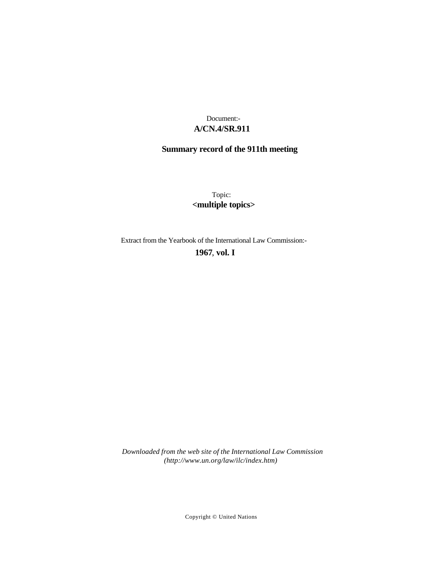# **A/CN.4/SR.911** Document:-

# **Summary record of the 911th meeting**

Topic: **<multiple topics>**

Extract from the Yearbook of the International Law Commission:-

**1967** , **vol. I**

*Downloaded from the web site of the International Law Commission (http://www.un.org/law/ilc/index.htm)*

Copyright © United Nations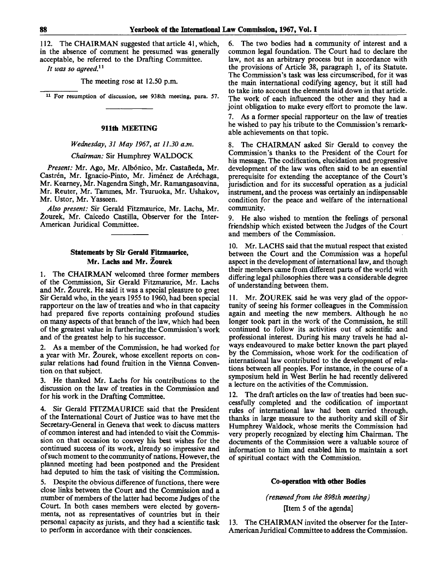112. The CHAIRMAN suggested that article 41, which, in the absence of comment he presumed was generally acceptable, be referred to the Drafting Committee.

*It was so agreed.<sup>11</sup>*

The meeting rose at 12.50 p.m.

11 For resumption of discussion, see 938th meeting, para. 57.

#### **911th** MEETING

### *Wednesday, 31 May 1967, at 11.30 a.m.*

*Chairman:* Sir Humphrey WALDOCK

Present: Mr. Ago, Mr. Albónico, Mr. Castañeda, Mr. Castrén, Mr. Ignacio-Pinto, Mr. Jiménez de Aréchaga, Mr. Kearney, Mr. Nagendra Singh, Mr. Ramangasoavina, Mr. Reuter, Mr. Tammes, Mr. Tsuruoka, Mr. Ushakov, Mr. Ustor, Mr. Yasseen.

*Also present:* Sir Gerald Fitzmaurice, Mr. Lachs, Mr. 2ourek, Mr. Caicedo Castilla, Observer for the Inter-American Juridical Committee.

# **Statements by Sir Gerald Fitzmaurice, Mr. Lachs and Mr. Zourek**

1. The CHAIRMAN welcomed three former members of the Commission, Sir Gerald Fitzmaurice, Mr. Lachs and Mr. Zourek. He said it was a special pleasure to greet Sir Gerald who, in the years 1955 to 1960, had been special rapporteur on the law of treaties and who in that capacity had prepared five reports containing profound studies on many aspects of that branch of the law, which had been of the greatest value in furthering the Commission's work and of the greatest help to his successor.

2. As a member of the Commission, he had worked for a year with Mr. Zourek, whose excellent reports on consular relations had found fruition in the Vienna Convention on that subject.

3. He thanked Mr. Lachs for his contributions to the discussion on the law of treaties in the Commission and for his work in the Drafting Committee.

4. Sir Gerald FITZMAURICE said that the President of the International Court of Justice was to have met the Secretary-General in Geneva that week to discuss matters of common interest and had intended to visit the Commission on that occasion to convey his best wishes for the continued success of its work, already so impressive and of such moment to the community of nations. However, the planned meeting had been postponed and the President had deputed to him the task of visiting the Commission.

5. Despite the obvious difference of functions, there were close links between the Court and the Commission and a number of members of the latter had become Judges of the Court. In both cases members were elected by governments, not as representatives of countries but in their personal capacity as jurists, and they had a scientific task to perform in accordance with their consciences.

6. The two bodies had a community of interest and a common legal foundation. The Court had to declare the law, not as an arbitrary process but in accordance with the provisions of Article 38, paragraph 1, of its Statute. The Commission's task was less circumscribed, for it was the main international codifying agency, but it still had to take into account the elements laid down in that article. The work of each influenced the other and they had a joint obligation to make every effort to promote the law.

As a former special rapporteur on the law of treaties he wished to pay his tribute to the Commission's remarkable achievements on that topic.

8. The CHAIRMAN asked Sir Gerald to convey the Commission's thanks to the President of the Court for his message. The codification, elucidation and progressive development of the law was often said to be an essential prerequisite for extending the acceptance of the Court's jurisdiction and for its successful operation as a judicial instrument, and the process was certainly an indispensable condition for the peace and welfare of the international community.

9. He also wished to mention the feelings of personal friendship which existed between the Judges of the Court and members of the Commission.

10. Mr. LACHS said that the mutual respect that existed between the Court and the Commission was a hopeful aspect in the development of international law, and though their members came from different parts of the world with differing legal philosophies there was a considerable degree of understanding between them.

11. Mr. 2OUREK said he was very glad of the opportunity of seeing his former colleagues in the Commission again and meeting the new members. Although he no longer took part in the work of the Commission, he still continued to follow its activities out of scientific and professional interest. During his many travels he had always endeavoured to make better known the part played by the Commission, whose work for the codification of international law contributed to the development of relations between all peoples. For instance, in the course of a symposium held in West Berlin he had recently delivered a lecture on the activities of the Commission.

12. The draft articles on the law of treaties had been successfully completed and the codification of important rules of international law had been carried through, thanks in large measure to the authority and skill of Sir Humphrey Waldock, whose merits the Commission had very properly recognized by electing him Chairman. The documents of the Commission were a valuable source of information to him and enabled him to maintain a sort of spiritual contact with the Commission.

#### **Co-operation with other Bodies**

*(resumed from the 898th meeting)* [Item 5 of the agenda]

13. The CHAIRMAN invited the observer for the Inter-American Juridical Committee to address the Commission.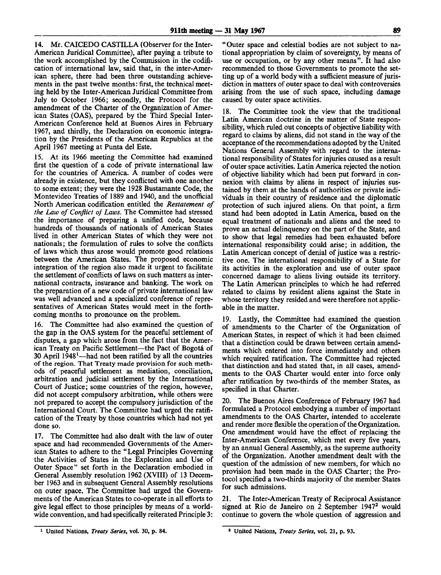14. Mr. CAICEDO CASTILLA (Observer for the Inter-American Juridical Committee), after paying a tribute to the work accomplished by the Commission in the codification of international law, said that, in the inter-American sphere, there had been three outstanding achievements in the past twelve months: first, the technical meeting held by the Inter-American Juridical Committee from July to October 1966; secondly, the Protocol for the amendment of the Charter of the Organization of American States (OAS), prepared by the Third Special Inter-American Conference held at Buenos Aires in February 1967, and thirdly, the Declaration on economic integration by the Presidents of the American Republics at the April 1967 meeting at Punta del Este.

15. At its 1966 meeting the Committee had examined first the question of a code of private international law for the countries of America. A number of codes were already in existence, but they conflicted with one another to some extent; they were the 1928 Bustamante Code, the Montevideo Treaties of 1889 and 1940, and the unofficial North American codification entitled the *Restatement of the Law of Conflict of Laws.* The Committee had stressed the importance of preparing a unified code, because hundreds of thousands of nationals of American States lived in other American States of which they were not nationals; the formulation of rules to solve the conflicts of laws which thus arose would promote good relations between the American States. The proposed economic integration of the region also made it urgent to facilitate the settlement of conflicts of laws on such matters as international contracts, insurance and banking. The work on the preparation of a new code of private international law was well advanced and a specialized conference of representatives of American States would meet in the forthcoming months to pronounce on the problem.

16. The Committee had also examined the question of the gap in the OAS system for the peaceful settlement of disputes, a gap which arose from the fact that the American Treaty on Pacific Settlement—the Pact of Bogota of 30 April 1948<sup>1</sup>—had not been ratified by all the countries of the region. That Treaty made provision for such methods of peaceful settlement as mediation, conciliation, arbitration and judicial settlement by the International Court of Justice; some countries of the region, however, did not accept compulsory arbitration, while others were not prepared to accept the compulsory jurisdiction of the International Court. The Committee had urged the ratification of the Treaty by those countries which had not yet done so.

17. The Committee had also dealt with the law of outer space and had recommended Governments of the American States to adhere to the "Legal Principles Governing the Activities of States in the Exploration and Use of Outer Space" set forth in the Declaration embodied in General Assembly resolution 1962 (XVIII) of 13 December 1963 and in subsequent General Assembly resolutions on outer space. The Committee had urged the Governments of the American States to co-operate in all efforts to give legal effect to those principles by means of a worldwide convention, and had specifically reiterated Principle 3:

"Outer space and celestial bodies are not subject to national appropriation by claim of sovereignty, by means of use or occupation, or by any other means". It had also recommended to those Governments to promote the setting up of a world body with a sufficient measure of jurisdiction in matters of outer space to deal with controversies arising from the use of such space, including damage caused by outer space activities.

18. The Committee took the view that the traditional Latin American doctrine in the matter of State responsibility, which ruled out concepts of objective liability with regard to claims by aliens, did not stand in the way of the acceptance of the recommendations adopted by the United Nations General Assembly with regard to the international responsibility of States for injuries caused as a result of outer space activities. Latin America rejected the notion of objective liability which had been put forward in connexion with claims by aliens in respect of injuries sustained by them at the hands of authorities or private individuals in their country of residence and the diplomatic protection of such injured aliens. On that point, a firm stand had been adopted in Latin America, based on the equal treatment of nationals and aliens and the need to prove an actual delinquency on the part of the State, and to show that legal remedies had been exhausted before international responsibility could arise; in addition, the Latin American concept of denial of justice was a restrictive one. The international responsibility of a State for its activities in the exploration and use of outer space concerned damage to aliens living outside its territory. The Latin American principles to which he had referred related to claims by resident aliens against the State in whose territory they resided and were therefore not applicable in the matter.

19. Lastly, the Committee had examined the question of amendments to the Charter of the Organization of American States, in respect of which it had been claimed that a distinction could be drawn between certain amendments which entered into force immediately and others which required ratification. The Committee had rejected that distinction and had stated that, in all cases, amendments to the OAS Charter would enter into force only after ratification by two-thirds of the member States, as specified in that Charter.

20. The Buenos Aires Conference of February 1967 had formulated a Protocol embodying a number of important amendments to the OAS Charter, intended to accelerate and render more flexible the operation of the Organization. One amendment would have the effect of replacing the Inter-American Conference, which met every five years, by an annual General Assembly, as the supreme authority of the Organization. Another amendment dealt with the question of the admission of new members, for which no provision had been made in the OAS Charter; the Protocol specified a two-thirds majority of the member States for such admissions.

21. The Inter-American Treaty of Reciprocal Assistance signed at Rio de Janeiro on 2 September 1947<sup>2</sup> would continue to govern the whole question of aggression and

<sup>1</sup> United Nations, *Treaty Series,* vol. 30, p. 84.

<sup>2</sup> United Nations, *Treaty Series,* vol. 21, p. 93.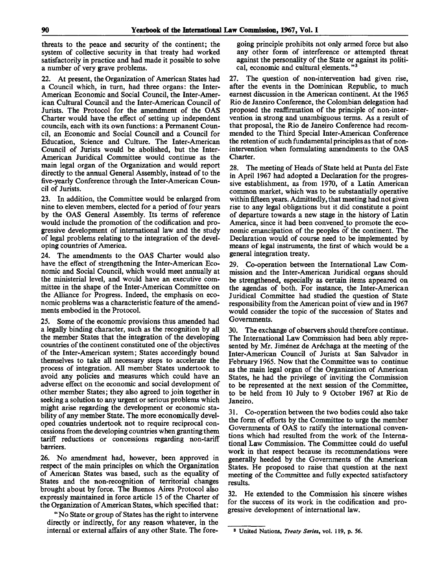threats to the peace and security of the continent; the system of collective security in that treaty had worked satisfactorily in practice and had made it possible to solve a number of very grave problems.

At present, the Organization of American States had a Council which, in turn, had three organs: the Inter-American Economic and Social Council, the Inter-American Cultural Council and the Inter-American Council of Jurists. The Protocol for the amendment of the OAS Charter would have the effect of setting up independent councils, each with its own functions: a Permanent Council, an Economic and Social Council and a Council for Education, Science and Culture. The Inter-American Council of Jurists would be abolished, but the Inter-American Juridical Committee would continue as the main legal organ of the Organization and would report directly to the annual General Assembly, instead of to the five-yearly Conference through the Inter-American Council of Jurists.

23. In addition, the Committee would be enlarged from nine to eleven members, elected for a period of four years by the OAS General Assembly. Its terms of reference would include the promotion of the codification and progressive development of international law and the study of legal problems relating to the integration of the developing countries of America.

24. The amendments to the OAS Charter would also have the effect of strengthening the Inter-American Economic and Social Council, which would meet annually at the ministerial level, and would have an executive committee in the shape of the Inter-American Committee on the Alliance for Progress. Indeed, the emphasis on economic problems was a characteristic feature of the amendments embodied in the Protocol.

25. Some of the economic provisions thus amended had a legally binding character, such as the recognition by all the member States that the integration of the developing countries of the continent constituted one of the objectives of the Inter-American system; States accordingly bound themselves to take all necessary steps to accelerate the process of integration. All member States undertook to avoid any policies and measures which could have an adverse effect on the economic and social development of other member States; they also agreed to join together in seeking a solution to any urgent or serious problems which might arise regarding the development or economic stability of any member State. The more economically developed countries undertook not to require reciprocal concessions from the developing countries when granting them tariff reductions or concessions regarding non-tariff barriers.

26. No amendment had, however, been approved in respect of the main principles on which the Organization of American States was based, such as the equality of States and the non-recognition of territorial changes brought about by force. The Buenos Aires Protocol also expressly maintained in force article 15 of the Charter of the Organization of American States, which specified that:

"No State or group of States has the right to intervene directly or indirectly, for any reason whatever, in the internal or external affairs of any other State. The fore-

going principle prohibits not only armed force but also any other form of interference or attempted threat against the personality of the State or against its political, economic and cultural elements. "<sup>3</sup>

27. The question of non-intervention had given rise, after the events in the Dominican Republic, to much earnest discussion in the American continent. At the 1965 Rio de Janeiro Conference, the Colombian delegation had proposed the reaffirmation of the principle of non-intervention in strong and unambiguous terms. As a result of that proposal, the Rio de Janeiro Conference had recommended to the Third Special Inter-American Conference the retention of such fundamental principles as that of nonintervention when formulating amendments to the OAS Charter.

28. The meeting of Heads of State held at Punta del Este in April 1967 had adopted a Declaration for the progressive establishment, as from 1970, of a Latin American common market, which was to be substantially operative within fifteen years. Admittedly, that meeting had not given rise to any legal obligations but it did constitute a point of departure towards a new stage in the history of Latin America, since it had been convened to promote the economic emancipation of the peoples of the continent. The Declaration would of course need to be implemented by means of legal instruments, the first of which would be a general integration treaty.

29. Co-operation between the International Law Commission and the Inter-American Juridical organs should be strengthened, especially as certain items appeared on the agendas of both. For instance, the Inter-American Juridical Committee had studied the question of State responsibility from the American point of view and in 1967 would consider the topic of the succession of States and Governments.

30. The exchange of observers should therefore continue. The International Law Commission had been ably represented by Mr. Jiménez de Aréchaga at the meeting of the Inter-American Council of Jurists at San Salvador in February 1965. Now that the Committee was to continue as the main legal organ of the Organization of American States, he had the privilege of inviting the Commission to be represented at the next session of the Committee, to be held from 10 July to 9 October 1967 at Rio de Janeiro.

31. Co-operation between the two bodies could also take the form of efforts by the Committee to urge the member Governments of OAS to ratify the international conventions which had resulted from the work of the International Law Commission. The Committee could do useful work in that respect because its recommendations were generally heeded by the Governments of the American States. He proposed to raise that question at the next meeting of the Committee and fully expected satisfactory results.

32. He extended to the Commission his sincere wishes for the success of its work in the codification and progressive development of international law.

<sup>8</sup> United Nations, *Treaty Series,* vol. 119, p. 56.